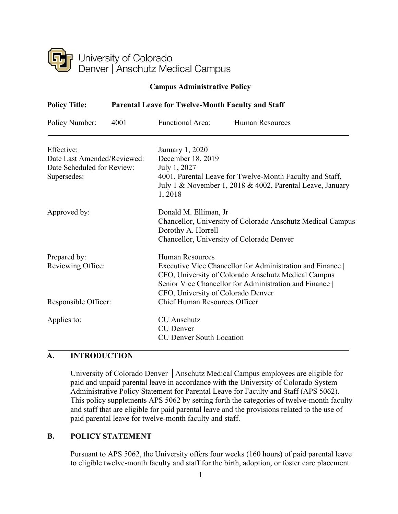

#### **Campus Administrative Policy**

| <b>Policy Title:</b>                      | <b>Parental Leave for Twelve-Month Faculty and Staff</b> |                                             |                                                                                                                                                                                                                  |  |  |
|-------------------------------------------|----------------------------------------------------------|---------------------------------------------|------------------------------------------------------------------------------------------------------------------------------------------------------------------------------------------------------------------|--|--|
| Policy Number:                            | 4001                                                     | <b>Functional Area:</b>                     | <b>Human Resources</b>                                                                                                                                                                                           |  |  |
| Effective:                                |                                                          | January 1, 2020                             |                                                                                                                                                                                                                  |  |  |
| Date Last Amended/Reviewed:               |                                                          |                                             | December 18, 2019                                                                                                                                                                                                |  |  |
| Date Scheduled for Review:<br>Supersedes: |                                                          | 1,2018                                      | July 1, 2027<br>4001, Parental Leave for Twelve-Month Faculty and Staff,<br>July 1 & November 1, 2018 & 4002, Parental Leave, January                                                                            |  |  |
| Approved by:                              |                                                          | Donald M. Elliman, Jr<br>Dorothy A. Horrell | Chancellor, University of Colorado Anschutz Medical Campus<br>Chancellor, University of Colorado Denver                                                                                                          |  |  |
| Prepared by:<br>Reviewing Office:         |                                                          | <b>Human Resources</b>                      | Executive Vice Chancellor for Administration and Finance<br>CFO, University of Colorado Anschutz Medical Campus<br>Senior Vice Chancellor for Administration and Finance  <br>CFO, University of Colorado Denver |  |  |
| Responsible Officer:                      |                                                          |                                             | <b>Chief Human Resources Officer</b>                                                                                                                                                                             |  |  |
| Applies to:                               |                                                          | <b>CU</b> Anschutz<br><b>CU</b> Denver      | <b>CU Denver South Location</b>                                                                                                                                                                                  |  |  |

### **A. INTRODUCTION**

University of Colorado Denver │Anschutz Medical Campus employees are eligible for paid and unpaid parental leave in accordance with the University of Colorado System Administrative Policy Statement for Parental Leave for Faculty and Staff (APS 5062). This policy supplements APS 5062 by setting forth the categories of twelve-month faculty and staff that are eligible for paid parental leave and the provisions related to the use of paid parental leave for twelve-month faculty and staff.

### **B. POLICY STATEMENT**

Pursuant to APS 5062, the University offers four weeks (160 hours) of paid parental leave to eligible twelve-month faculty and staff for the birth, adoption, or foster care placement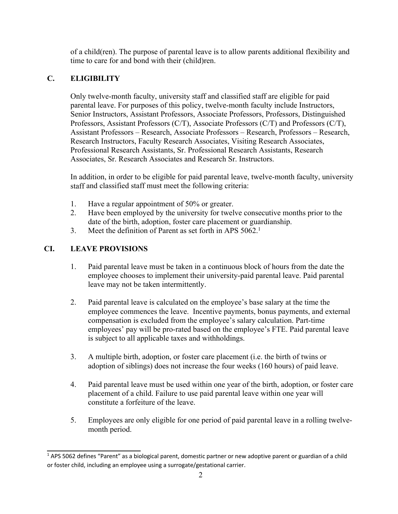of a child(ren). The purpose of parental leave is to allow parents additional flexibility and time to care for and bond with their (child)ren.

# **C. ELIGIBILITY**

Only twelve-month faculty, university staff and classified staff are eligible for paid parental leave. For purposes of this policy, twelve-month faculty include Instructors, Senior Instructors, Assistant Professors, Associate Professors, Professors, Distinguished Professors, Assistant Professors (C/T), Associate Professors (C/T) and Professors (C/T), Assistant Professors – Research, Associate Professors – Research, Professors – Research, Research Instructors, Faculty Research Associates, Visiting Research Associates, Professional Research Assistants, Sr. Professional Research Assistants, Research Associates, Sr. Research Associates and Research Sr. Instructors.

In addition, in order to be eligible for paid parental leave, twelve-month faculty, university staff and classified staff must meet the following criteria:

- 1. Have a regular appointment of 50% or greater.
- 2. Have been employed by the university for twelve consecutive months prior to the date of the birth, adoption, foster care placement or guardianship.
- 3. Meet the definition of Parent as set forth in APS 5062.<sup>1</sup>

## **CI. LEAVE PROVISIONS**

- 1. Paid parental leave must be taken in a continuous block of hours from the date the employee chooses to implement their university-paid parental leave. Paid parental leave may not be taken intermittently.
- 2. Paid parental leave is calculated on the employee's base salary at the time the employee commences the leave. Incentive payments, bonus payments, and external compensation is excluded from the employee's salary calculation. Part-time employees' pay will be pro-rated based on the employee's FTE. Paid parental leave is subject to all applicable taxes and withholdings.
- 3. A multiple birth, adoption, or foster care placement (i.e. the birth of twins or adoption of siblings) does not increase the four weeks (160 hours) of paid leave.
- 4. Paid parental leave must be used within one year of the birth, adoption, or foster care placement of a child. Failure to use paid parental leave within one year will constitute a forfeiture of the leave.
- 5. Employees are only eligible for one period of paid parental leave in a rolling twelvemonth period.

<sup>&</sup>lt;sup>1</sup> APS 5062 defines "Parent" as a biological parent, domestic partner or new adoptive parent or guardian of a child or foster child, including an employee using a surrogate/gestational carrier.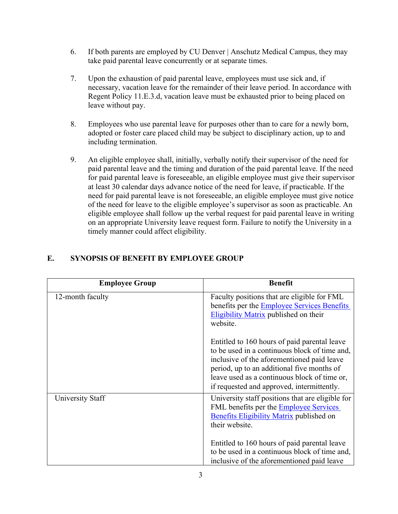- 6. If both parents are employed by CU Denver | Anschutz Medical Campus, they may take paid parental leave concurrently or at separate times.
- 7. Upon the exhaustion of paid parental leave, employees must use sick and, if necessary, vacation leave for the remainder of their leave period. In accordance with Regent Policy 11.E.3.d, vacation leave must be exhausted prior to being placed on leave without pay.
- 8. Employees who use parental leave for purposes other than to care for a newly born, adopted or foster care placed child may be subject to disciplinary action, up to and including termination.
- 9. An eligible employee shall, initially, verbally notify their supervisor of the need for paid parental leave and the timing and duration of the paid parental leave. If the need for paid parental leave is foreseeable, an eligible employee must give their supervisor at least 30 calendar days advance notice of the need for leave, if practicable. If the need for paid parental leave is not foreseeable, an eligible employee must give notice of the need for leave to the eligible employee's supervisor as soon as practicable. An eligible employee shall follow up the verbal request for paid parental leave in writing on an appropriate University leave request form. Failure to notify the University in a timely manner could affect eligibility.

| <b>Employee Group</b> | <b>Benefit</b>                                                                                                                                                                                                                                                                          |
|-----------------------|-----------------------------------------------------------------------------------------------------------------------------------------------------------------------------------------------------------------------------------------------------------------------------------------|
| 12-month faculty      | Faculty positions that are eligible for FML<br>benefits per the <b>Employee Services Benefits</b><br>Eligibility Matrix published on their<br>website.                                                                                                                                  |
|                       | Entitled to 160 hours of paid parental leave<br>to be used in a continuous block of time and,<br>inclusive of the aforementioned paid leave<br>period, up to an additional five months of<br>leave used as a continuous block of time or,<br>if requested and approved, intermittently. |
| University Staff      | University staff positions that are eligible for<br>FML benefits per the <b>Employee Services</b><br><b>Benefits Eligibility Matrix published on</b><br>their website.                                                                                                                  |
|                       | Entitled to 160 hours of paid parental leave<br>to be used in a continuous block of time and,<br>inclusive of the aforementioned paid leave                                                                                                                                             |

### **E. SYNOPSIS OF BENEFIT BY EMPLOYEE GROUP**